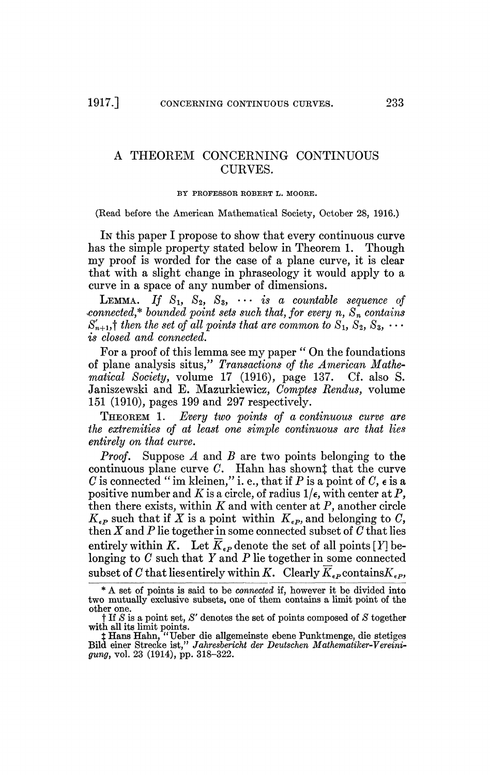## A THEOREM CONCERNING CONTINUOUS CURVES.

## BY PKOFESSOE KOBERT L. MOORE.

(Read before the American Mathematical Society, October 28, 1916.)

In this paper I propose to show that every continuous curve has the simple property stated below in Theorem 1. Though my proof is worded for the case of a plane curve, it is clear that with a slight change in phraseology it would apply to a curve in a space of any number of dimensions.

 $\textbf{Lemma.} \quad \textit{If} \quad \text{S}_1, \ \text{ S}_2, \ \text{ S}_3, \ \ \cdots \ \ \textit{is} \ \ a \ \ \textit{countable} \ \ \textit{sequence} \ \ \textit{of}$ *connected\* bounded point sets such that, for every n, Sn contains*   $S'_{n+1}$ ,<sup>†</sup> then the set of all points that are common to  $S_1, S_2, S_3, \cdots$ *is closed and connected.* 

For a proof of this lemma see my paper " On the foundations of plane analysis situs," *Transactions of the American Mathematical Society,* volume 17 (1916), page 137. Cf. also S. Janiszewski and E. Mazurkiewicz, *Comptes Rendus,* volume 151 (1910), pages 199 and 297 respectively.

THEOREM 1. *Every two points of a continuous curve are the extremities of at least one simple continuous arc that lies entirely on that curve.* 

*Proof.* Suppose *A* and *B* are two points belonging to the continuous plane curve C. Hahn has shownt that the curve *C* is connected " im kleinen," i. e., that if *P* is a point of *C, e* is a positive number and K is a circle, of radius  $1/\epsilon$ , with center at P, then there exists, within *K* and with center at *P,* another circle  $K_{\epsilon P}$  such that if  $\overline{X}$  is a point within  $K_{\epsilon P}$ , and belonging to  $C$ , then *X* and *P* lie together in some connected subset of *C* that lies entirely within K. Let  $\overline{K}_{\epsilon P}$  denote the set of all points [Y] belonging to *C* such that *Y* and *P* lie together in some connected subset of C that lies entirely within K. Clearly  $\overline{K}_{\epsilon P}$  contains  $K_{\epsilon P}$ ,

<sup>\*</sup> A set of points is said to be *connected* if, however it be divided into two mutually exclusive subsets, one of them contains a limit point of the other one.

t If *S* is a point set, *S'* denotes the set of points composed of *S* together with all its limit points.

*t* Hans Hahn, "Ueber die allgemeinste ebene Punktmenge, die stetiges Bild einer Strecke ist," *Jahresbericht der Deutschen Mathematiker-Vereinigung,* vol. 23 (1914), pp. 318-322.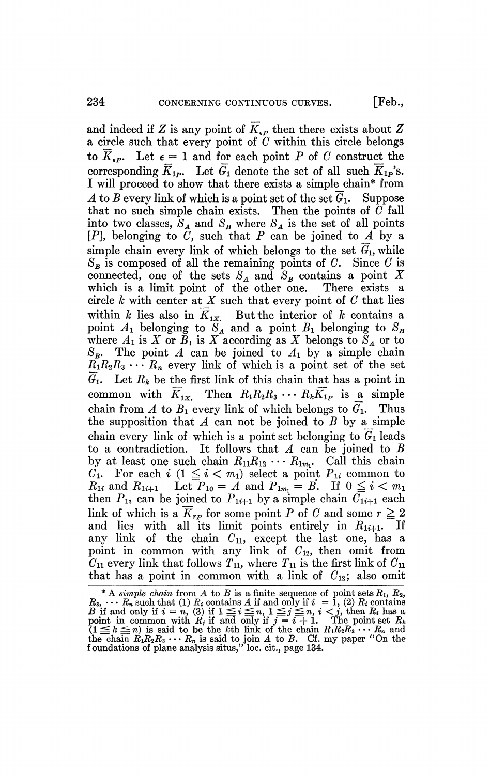and indeed if *Z* is any point of  $\overline{K}_{\epsilon P}$  then there exists about *Z* a circle such that every point of *C* within this circle belongs to  $\overline{K}_{\epsilon P}$ . Let  $\epsilon = 1$  and for each point P of C construct the corresponding  $\overline{K}_{1p}$ . Let  $\overline{G}_1$  denote the set of all such  $\overline{K}_{1p}$ 's. I will proceed to show that there exists a simple chain\* from *A* to *B* every link of which is a point set of the set  $G_1$ . Suppose that no such simple chain exists. Then the points of *C* fall into two classes,  $S_A$  and  $S_B$  where  $S_A$  is the set of all points  $[P]$ , belonging to  $\hat{C}$ , such that P can be joined to A by a simple chain every link of which belongs to the set  $G_1$ , while  $S_B$  is composed of all the remaining points of *C*. Since *C* is connected, one of the sets  $S_A$  and  $S_B$  contains a point X which is a limit point of the other one. There exists a circle *h* with center at *X* such that every point of *C* that lies within *k* lies also in  $\overline{K}_{1x}$ . But the interior of *k* contains a point  $A_1$  belonging to  $S_A$  and a point  $B_1$  belonging to  $S_B$ where  $A_1$  is X or  $B_1$  is X according as X belongs to  $S_A$  or to  $S_B$ . The point *A* can be joined to  $A_1$  by a simple chain  $R_1R_2R_3 \cdots R_n$  every link of which is a point set of the set  $\overline{G}_1$ . Let  $R_k$  be the first link of this chain that has a point in common with  $\overline{K}_{1x}$ . Then  $R_1R_2R_3 \cdots R_k\overline{K}_{1p}$  is a simple chain from A to  $B_1$  every link of which belongs to  $\overline{G}_1$ . Thus the supposition that  $A$  can not be joined to  $B$  by a simple chain every link of which is a point set belonging to  $G_1$  leads to a contradiction. It follows that *A* can be joined to *B*  by at least one such chain  $R_{11}R_{12} \cdots R_{1m}$ . Call this chain  $C_1$ . For each i  $(1 \le i \le m_1)$  select a point  $P_{1i}$  common to  $R_{1i}$  and  $R_{1i+1}$  Let  $P_{10} = A$  and  $P_{1m} = B$ . If  $0 \le i \le m_1$ then  $P_{1i}$  can be joined to  $P_{1i+1}$  by a simple chain  $\overline{C_{1i+1}}$  each link of which is a  $\overline{K}_{rp}$  for some point *P* of *C* and some  $r \ge 2$ and lies with all its limit points entirely in  $R_{1i+1}$ . If any link of the chain  $C_{11}$ , except the last one, has a point in common with any link of  $C_{12}$ , then omit from  $C_{11}$  every link that follows  $T_{11}$ , where  $T_{11}$  is the first link of  $C_{11}$ that has a point in common with a link of  $C_{12}$ ; also omit

<sup>\*</sup> A *simple chain* from  $A$  to  $B$  is a finite sequence of point sets  $R_1$ ,  $R_2$ ,  $R_3, \cdots R_n$  such that (1)  $R_i$  contains  $A$  if and only if  $i = 1$ , (2)  $R_i$  contains  $B$  if and only if  $i = n$ , (3) if  $1 \leq i \leq n$ ,  $1 \leq j \leq n$ ,  $i < j$ , then  $R_i$  has a point in common with  $R_j$  if and only if  $j = i + 1$ . The point set  $R_k$  $(1 \leq k \leq n)$  is said to be the *k*th link of the chain  $R_1R_2R_3 \cdots R_n$  and the chain  $R_1R_2R_3 \cdots R_n$  is said to join A to B. Cf. my paper "On the foundations of plane analysis situs," loc. cit., page 134.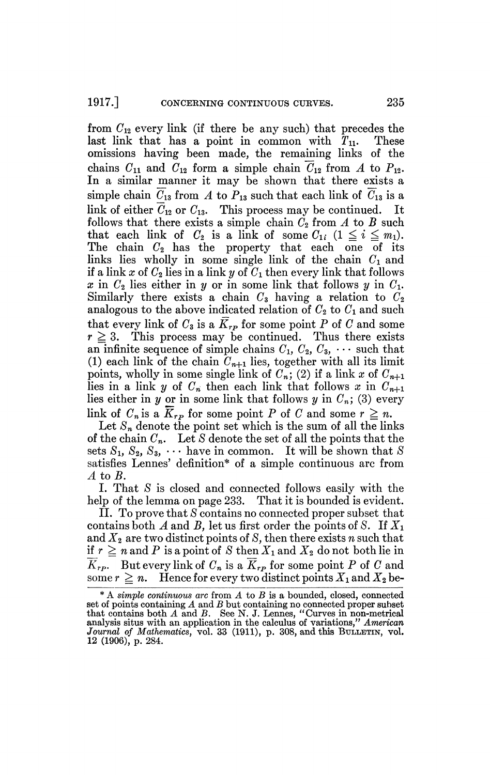from  $C_{12}$  every link (if there be any such) that precedes the last link that has a point in common with  $T_{11}$ . These omissions having been made, the remaining links of the chains  $C_{11}$  and  $C_{12}$  form a simple chain  $\overline{C}_{12}$  from A to  $P_{12}$ . In a similar manner it may be shown that there exists a simple chain  $\overline{C}_{13}$  from A to  $P_{13}$  such that each link of  $\overline{C}_{13}$  is a  $\lim_{\epsilon \to 0}$  of either  $\overline{\mathcal{C}}_{12}$  or  $\mathcal{C}_{12}$ . This process may be continued. It follows that there exists a simple chain  $C_2$  from  $A$  to  $B$  such that each link of  $C_2$  is a link of some  $C_{1i}$   $(1 \leq i \leq m_1)$ . The chain  $C_2$  has the property that each one of its links lies wholly in some single link of the chain *Ci* and if a link x of  $C_2$  lies in a link y of  $C_1$  then every link that follows  $x$  in  $C_2$  lies either in  $y$  or in some link that follows  $y$  in  $C_1$ . Similarly there exists a chain  $C_3$  having a relation to  $C_2$ analogous to the above indicated relation of  $C_2$  to  $C_1$  and such that every link of  $C_3$  is a  $\overline{K}_{rp}$  for some point P of C and some  $r \geq 3$ . This process may be continued. Thus there exists an infinite sequence of simple chains  $C_1$ ,  $C_2$ ,  $C_3$ ,  $\cdots$  such that (1) each link of the chain  $C_{n+1}$  lies, together with all its limit points, wholly in some single link of  $C_n$ ; (2) if a link x of  $C_{n+1}$ lies in a link y of  $C_n$  then each link that follows x in  $C_{n+1}$ lies either in y or in some link that follows y in  $C_n$ ; (3) every link of  $C_n$  is a  $\overline{K}_{nn}$  for some point P of C and some  $r \geq n$ .

Let  $S_n$  denote the point set which is the sum of all the links of the chain *Cn.* Let *S* denote the set of all the points that the sets  $S_1$ ,  $S_2$ ,  $S_3$ ,  $\cdots$  have in common. It will be shown that S satisfies Lennes' definition\* of a simple continuous arc from *A* to *B.* 

I. That *S* is closed and connected follows easily with the help of the lemma on page 233. That it is bounded is evident.

II. To prove that *S* contains no connected proper subset that contains both A and B, let us first order the points of S. If  $X_1$ and X2 are two distinct points of *S,* then there exists *n* such that if  $r \geq n$  and P is a point of *S* then  $X_1$  and  $X_2$  do not both lie in  $\overline{K}_{rp}$ *.* But every link of  $C_n$  is a  $\overline{K}_{rp}$  for some point P of C and some  $r \geq n$ . Hence for every two distinct points  $X_1$  and  $X_2$  be-

<sup>\*</sup> A *simple continuous arc* from *A* to *B* is a bounded, closed, connected set of points containing *A* and *B* but containing no connected proper subset that contains both *A* and *B.* See N. J. Lennes, "Curves in non-metrical analysis situs with an application in the calculus of variations," *American*  Journal of Mathematics, vol. 33 (1911), p. 308, and this BULLETIN, vol. 12 (1906), p. 284.